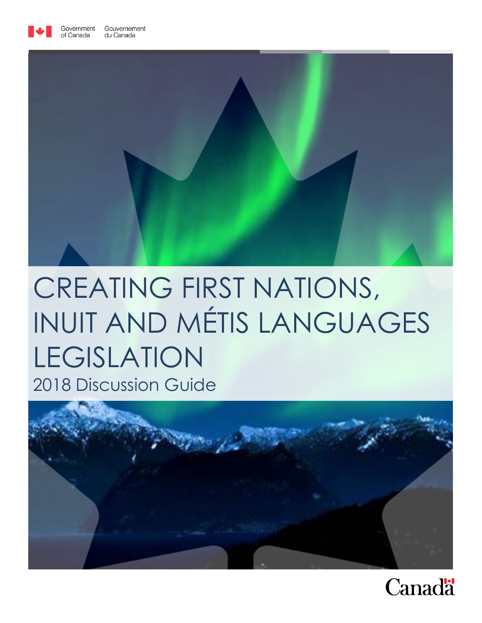



# CREATING FIRST NATIONS, INUIT AND MÉTIS LANGUAGES LEGISLATION 2018 Discussion Guide



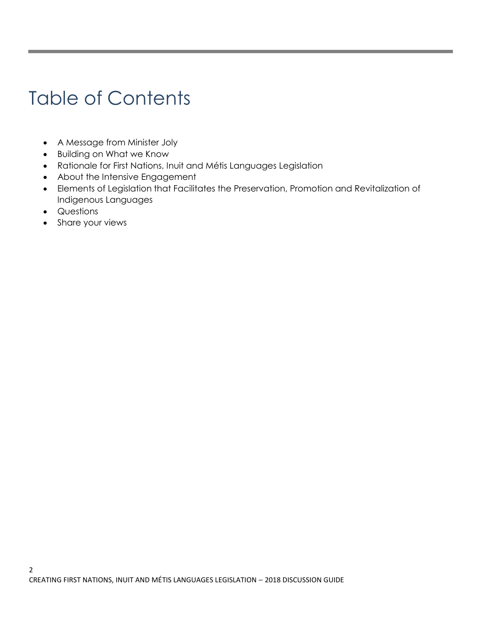## Table of Contents

- A Message from Minister Joly
- Building on What we Know
- Rationale for First Nations, Inuit and Métis Languages Legislation
- About the Intensive Engagement
- Elements of Legislation that Facilitates the Preservation, Promotion and Revitalization of Indigenous Languages
- Questions
- Share your views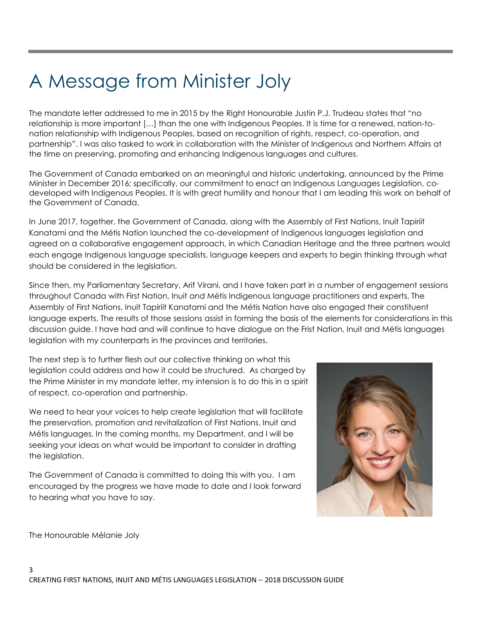## A Message from Minister Joly

The mandate letter addressed to me in 2015 by the Right Honourable Justin P.J. Trudeau states that "no relationship is more important […] than the one with Indigenous Peoples. It is time for a renewed, nation-tonation relationship with Indigenous Peoples, based on recognition of rights, respect, co-operation, and partnership". I was also tasked to work in collaboration with the Minister of Indigenous and Northern Affairs at the time on preserving, promoting and enhancing Indigenous languages and cultures.

The Government of Canada embarked on an meaningful and historic undertaking, announced by the Prime Minister in December 2016; specifically, our commitment to enact an Indigenous Languages Legislation, codeveloped with Indigenous Peoples. It is with great humility and honour that I am leading this work on behalf of the Government of Canada.

In June 2017, together, the Government of Canada, along with the Assembly of First Nations, Inuit Tapiriit Kanatami and the Métis Nation launched the co-development of Indigenous languages legislation and agreed on a collaborative engagement approach, in which Canadian Heritage and the three partners would each engage Indigenous language specialists, language keepers and experts to begin thinking through what should be considered in the legislation.

Since then, my Parliamentary Secretary, Arif Virani, and I have taken part in a number of engagement sessions throughout Canada with First Nation, Inuit and Métis Indigenous language practitioners and experts. The Assembly of First Nations, Inuit Tapiriit Kanatami and the Métis Nation have also engaged their constituent language experts. The results of those sessions assist in forming the basis of the elements for considerations in this discussion guide. I have had and will continue to have dialogue on the Frist Nation, Inuit and Métis languages legislation with my counterparts in the provinces and territories.

The next step is to further flesh out our collective thinking on what this legislation could address and how it could be structured. As charged by the Prime Minister in my mandate letter, my intension is to do this in a spirit of respect, co-operation and partnership.

We need to hear your voices to help create legislation that will facilitate the preservation, promotion and revitalization of First Nations, Inuit and Métis languages. In the coming months, my Department, and I will be seeking your ideas on what would be important to consider in drafting the legislation.

The Government of Canada is committed to doing this with you. I am encouraged by the progress we have made to date and I look forward to hearing what you have to say.



The Honourable Mélanie Joly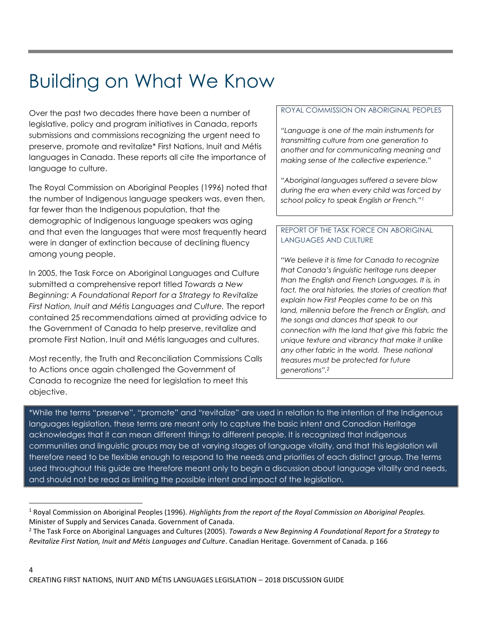## Building on What We Know

Over the past two decades there have been a number of legislative, policy and program initiatives in Canada, reports submissions and commissions recognizing the urgent need to preserve, promote and revitalize\* First Nations, Inuit and Métis languages in Canada. These reports all cite the importance of language to culture.

The Royal Commission on Aboriginal Peoples (1996) noted that the number of Indigenous language speakers was, even then, far fewer than the Indigenous population, that the demographic of Indigenous language speakers was aging and that even the languages that were most frequently heard were in danger of extinction because of declining fluency among young people.

In 2005, the Task Force on Aboriginal Languages and Culture submitted a comprehensive report titled *Towards a New Beginning: A Foundational Report for a Strategy to Revitalize First Nation, Inuit and Métis Languages and Culture.* The report contained 25 recommendations aimed at providing advice to the Government of Canada to help preserve, revitalize and promote First Nation, Inuit and Métis languages and cultures.

Most recently, the Truth and Reconciliation Commissions Calls to Actions once again challenged the Government of Canada to recognize the need for legislation to meet this objective.

#### ROYAL COMMISSION ON ABORIGINAL PEOPLES

*"Language is one of the main instruments for transmitting culture from one generation to another and for communicating meaning and making sense of the collective experience."*

*"Aboriginal languages suffered a severe blow during the era when every child was forced by school policy to speak English or French."<sup>1</sup>*

#### REPORT OF THE TASK FORCE ON ABORIGINAL LANGUAGES AND CULTURE

*"We believe it is time for Canada to recognize that Canada's linguistic heritage runs deeper than the English and French Languages. It is, in fact, the oral histories, the stories of creation that explain how First Peoples came to be on this land, millennia before the French or English, and the songs and dances that speak to our connection with the land that give this fabric the unique texture and vibrancy that make it unlike any other fabric in the world. These national treasures must be protected for future generations". 2*

\*While the terms "preserve", "promote" and "revitalize" are used in relation to the intention of the Indigenous languages legislation, these terms are meant only to capture the basic intent and Canadian Heritage acknowledges that it can mean different things to different people. It is recognized that Indigenous communities and linguistic groups may be at varying stages of language vitality, and that this legislation will therefore need to be flexible enough to respond to the needs and priorities of each distinct group. The terms used throughout this guide are therefore meant only to begin a discussion about language vitality and needs, and should not be read as limiting the possible intent and impact of the legislation.

l

<sup>1</sup> Royal Commission on Aboriginal Peoples (1996). *Highlights from the report of the Royal Commission on Aboriginal Peoples.* Minister of Supply and Services Canada. Government of Canada.

<sup>2</sup> The Task Force on Aboriginal Languages and Cultures (2005). *Towards a New Beginning A Foundational Report for a Strategy to Revitalize First Nation, Inuit and Métis Languages and Culture*. Canadian Heritage. Government of Canada. p 166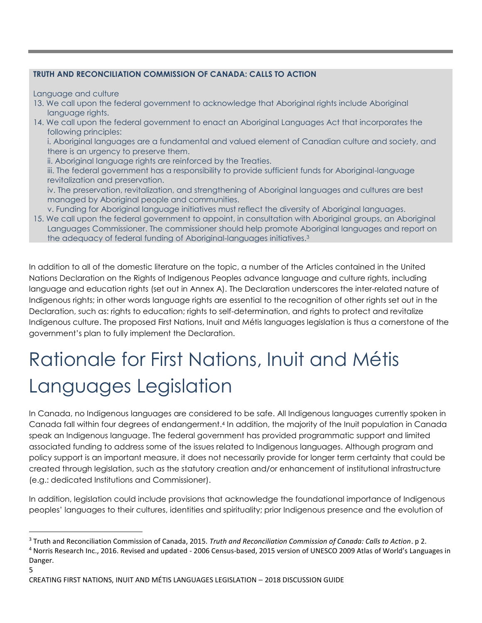#### **TRUTH AND RECONCILIATION COMMISSION OF CANADA: CALLS TO ACTION**

Language and culture

 $\overline{\phantom{a}}$ 

- 13. We call upon the federal government to acknowledge that Aboriginal rights include Aboriginal language rights.
- 14. We call upon the federal government to enact an Aboriginal Languages Act that incorporates the following principles:

i. Aboriginal languages are a fundamental and valued element of Canadian culture and society, and there is an urgency to preserve them.

ii. Aboriginal language rights are reinforced by the Treaties.

iii. The federal government has a responsibility to provide sufficient funds for Aboriginal-language revitalization and preservation.

iv. The preservation, revitalization, and strengthening of Aboriginal languages and cultures are best managed by Aboriginal people and communities.

- v. Funding for Aboriginal language initiatives must reflect the diversity of Aboriginal languages.
- 15. We call upon the federal government to appoint, in consultation with Aboriginal groups, an Aboriginal Languages Commissioner. The commissioner should help promote Aboriginal languages and report on the adequacy of federal funding of Aboriginal-languages initiatives. 3

In addition to all of the domestic literature on the topic, a number of the Articles contained in the United Nations Declaration on the Rights of Indigenous Peoples advance language and culture rights, including language and education rights (set out in Annex A). The Declaration underscores the inter-related nature of Indigenous rights; in other words language rights are essential to the recognition of other rights set out in the Declaration, such as: rights to education; rights to self-determination, and rights to protect and revitalize Indigenous culture. The proposed First Nations, Inuit and Métis languages legislation is thus a cornerstone of the government's plan to fully implement the Declaration.

## Rationale for First Nations, Inuit and Métis Languages Legislation

In Canada, no Indigenous languages are considered to be safe. All Indigenous languages currently spoken in Canada fall within four degrees of endangerment. <sup>4</sup> In addition, the majority of the Inuit population in Canada speak an Indigenous language. The federal government has provided programmatic support and limited associated funding to address some of the issues related to Indigenous languages. Although program and policy support is an important measure, it does not necessarily provide for longer term certainty that could be created through legislation, such as the statutory creation and/or enhancement of institutional infrastructure (e.g.: dedicated Institutions and Commissioner).

In addition, legislation could include provisions that acknowledge the foundational importance of Indigenous peoples' languages to their cultures, identities and spirituality; prior Indigenous presence and the evolution of

<sup>5</sup> <sup>3</sup> Truth and Reconciliation Commission of Canada, 2015. *Truth and Reconciliation Commission of Canada: Calls to Action*. p 2. <sup>4</sup> Norris Research Inc., 2016. Revised and updated - 2006 Census-based, 2015 version of UNESCO 2009 Atlas of World's Languages in Danger.

CREATING FIRST NATIONS, INUIT AND MÉTIS LANGUAGES LEGISLATION – 2018 DISCUSSION GUIDE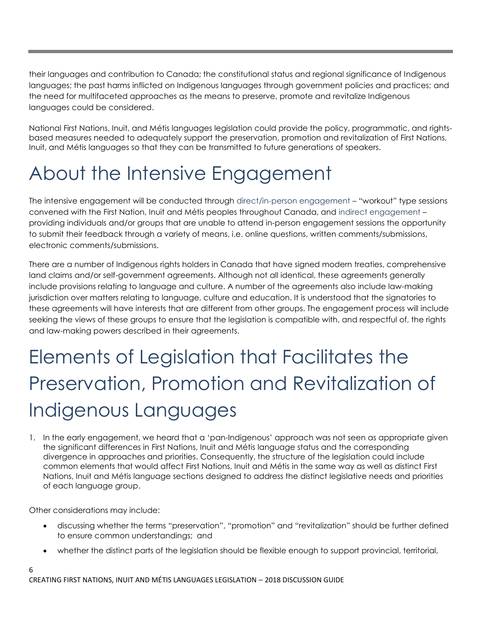their languages and contribution to Canada; the constitutional status and regional significance of Indigenous languages; the past harms inflicted on Indigenous languages through government policies and practices; and the need for multifaceted approaches as the means to preserve, promote and revitalize Indigenous languages could be considered.

National First Nations, Inuit, and Métis languages legislation could provide the policy, programmatic, and rightsbased measures needed to adequately support the preservation, promotion and revitalization of First Nations, Inuit, and Métis languages so that they can be transmitted to future generations of speakers.

## About the Intensive Engagement

The intensive engagement will be conducted through direct/in-person engagement – "workout" type sessions convened with the First Nation, Inuit and Métis peoples throughout Canada, and indirect engagement – providing individuals and/or groups that are unable to attend in-person engagement sessions the opportunity to submit their feedback through a variety of means, i.e. online questions, written comments/submissions, electronic comments/submissions.

There are a number of Indigenous rights holders in Canada that have signed modern treaties, comprehensive land claims and/or self-government agreements. Although not all identical, these agreements generally include provisions relating to language and culture. A number of the agreements also include law-making jurisdiction over matters relating to language, culture and education. It is understood that the signatories to these agreements will have interests that are different from other groups. The engagement process will include seeking the views of these groups to ensure that the legislation is compatible with, and respectful of, the rights and law-making powers described in their agreements.

## Elements of Legislation that Facilitates the Preservation, Promotion and Revitalization of Indigenous Languages

1. In the early engagement, we heard that a 'pan-Indigenous' approach was not seen as appropriate given the significant differences in First Nations, Inuit and Métis language status and the corresponding divergence in approaches and priorities. Consequently, the structure of the legislation could include common elements that would affect First Nations, Inuit and Métis in the same way as well as distinct First Nations, Inuit and Métis language sections designed to address the distinct legislative needs and priorities of each language group.

Other considerations may include:

6

- discussing whether the terms "preservation", "promotion" and "revitalization" should be further defined to ensure common understandings; and
- whether the distinct parts of the legislation should be flexible enough to support provincial, territorial,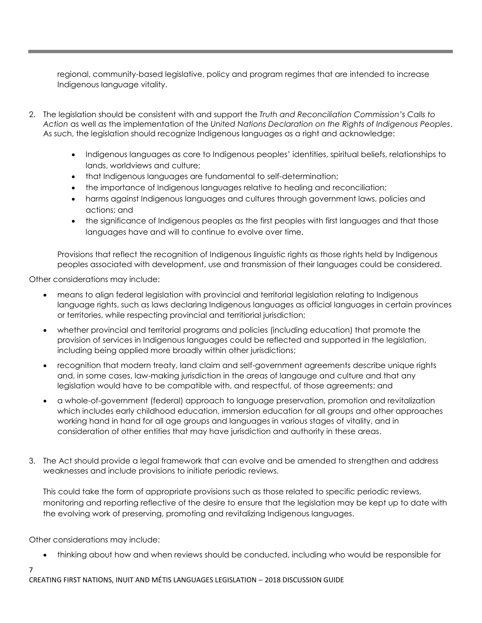regional, community-based legislative, policy and program regimes that are intended to increase Indigenous language vitality.

- 2. The legislation should be consistent with and support the *Truth and Reconciliation Commission's Calls to Action* as well as the implementation of the *United Nations Declaration on the Rights of Indigenous Peoples*. As such, the legislation should recognize Indigenous languages as a right and acknowledge:
	- Indigenous languages as core to Indigenous peoples' identities, spiritual beliefs, relationships to lands, worldviews and culture;
	- that Indigenous languages are fundamental to self-determination;
	- the importance of Indigenous languages relative to healing and reconciliation;
	- harms against Indigenous languages and cultures through government laws, policies and actions; and
	- the significance of Indigenous peoples as the first peoples with first languages and that those languages have and will to continue to evolve over time.

Provisions that reflect the recognition of Indigenous linguistic rights as those rights held by Indigenous peoples associated with development, use and transmission of their languages could be considered.

Other considerations may include:

- means to align federal legislation with provincial and territorial legislation relating to Indigenous language rights, such as laws declaring Indigenous languages as official languages in certain provinces or territories, while respecting provincial and territiorial jurisdiction;
- whether provincial and territorial programs and policies (including education) that promote the provision of services in Indigenous languages could be reflected and supported in the legislation, including being applied more broadly within other jurisdictions;
- recognition that modern treaty, land claim and self-government agreements describe unique rights and, in some cases, law-making jurisdiction in the areas of langauge and culture and that any legislation would have to be compatible with, and respectful, of those agreements; and
- a whole-of-government (federal) approach to language preservation, promotion and revitalization which includes early childhood education, immersion education for all groups and other approaches working hand in hand for all age groups and languages in various stages of vitality, and in consideration of other entities that may have jurisdiction and authority in these areas.
- 3. The Act should provide a legal framework that can evolve and be amended to strengthen and address weaknesses and include provisions to initiate periodic reviews.

This could take the form of appropriate provisions such as those related to specific periodic reviews, monitoring and reporting reflective of the desire to ensure that the legislation may be kept up to date with the evolving work of preserving, promoting and revitalizing Indigenous languages.

Other considerations may include:

thinking about how and when reviews should be conducted, including who would be responsible for

#### 7

CREATING FIRST NATIONS, INUIT AND MÉTIS LANGUAGES LEGISLATION – 2018 DISCUSSION GUIDE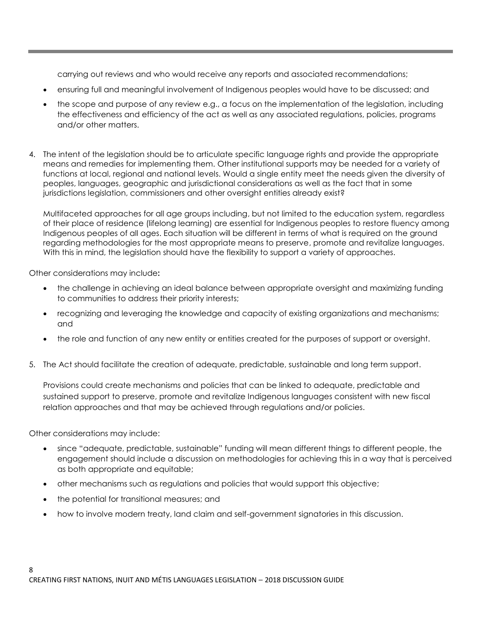carrying out reviews and who would receive any reports and associated recommendations;

- ensuring full and meaningful involvement of Indigenous peoples would have to be discussed; and
- the scope and purpose of any review e.g., a focus on the implementation of the legislation, including the effectiveness and efficiency of the act as well as any associated regulations, policies, programs and/or other matters.
- 4. The intent of the legislation should be to articulate specific language rights and provide the appropriate means and remedies for implementing them. Other institutional supports may be needed for a variety of functions at local, regional and national levels. Would a single entity meet the needs given the diversity of peoples, languages, geographic and jurisdictional considerations as well as the fact that in some jurisdictions legislation, commissioners and other oversight entities already exist?

Multifaceted approaches for all age groups including, but not limited to the education system, regardless of their place of residence (lifelong learning) are essential for Indigenous peoples to restore fluency among Indigenous peoples of all ages. Each situation will be different in terms of what is required on the ground regarding methodologies for the most appropriate means to preserve, promote and revitalize languages. With this in mind, the legislation should have the flexibility to support a variety of approaches.

Other considerations may include**:**

- the challenge in achieving an ideal balance between appropriate oversight and maximizing funding to communities to address their priority interests;
- recognizing and leveraging the knowledge and capacity of existing organizations and mechanisms; and
- the role and function of any new entity or entities created for the purposes of support or oversight.
- 5. The Act should facilitate the creation of adequate, predictable, sustainable and long term support.

Provisions could create mechanisms and policies that can be linked to adequate, predictable and sustained support to preserve, promote and revitalize Indigenous languages consistent with new fiscal relation approaches and that may be achieved through regulations and/or policies.

Other considerations may include:

- since "adequate, predictable, sustainable" funding will mean different things to different people, the engagement should include a discussion on methodologies for achieving this in a way that is perceived as both appropriate and equitable;
- other mechanisms such as regulations and policies that would support this objective;
- the potential for transitional measures; and
- how to involve modern treaty, land claim and self-government signatories in this discussion.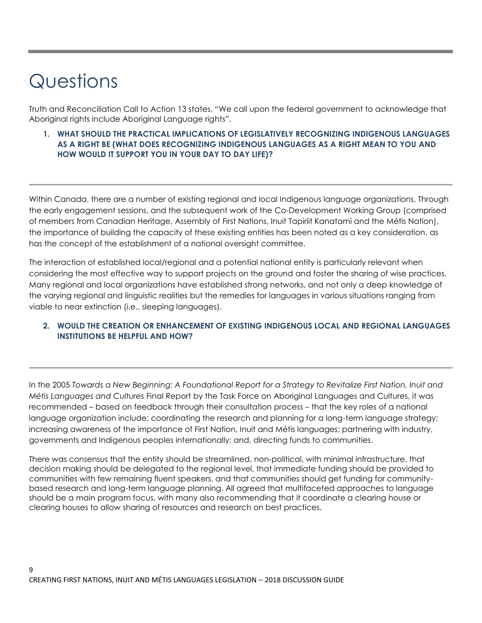## Questions

Truth and Reconciliation Call to Action 13 states, "We call upon the federal government to acknowledge that Aboriginal rights include Aboriginal Language rights".

**1. WHAT SHOULD THE PRACTICAL IMPLICATIONS OF LEGISLATIVELY RECOGNIZING INDIGENOUS LANGUAGES AS A RIGHT BE (WHAT DOES RECOGNIZING INDIGENOUS LANGUAGES AS A RIGHT MEAN TO YOU AND HOW WOULD IT SUPPORT YOU IN YOUR DAY TO DAY LIFE)?**

Within Canada, there are a number of existing regional and local Indigenous language organizations. Through the early engagement sessions, and the subsequent work of the Co-Development Working Group (comprised of members from Canadian Heritage, Assembly of First Nations, Inuit Tapiriit Kanatami and the Métis Nation), the importance of building the capacity of these existing entities has been noted as a key consideration, as has the concept of the establishment of a national oversight committee.

The interaction of established local/regional and a potential national entity is particularly relevant when considering the most effective way to support projects on the ground and foster the sharing of wise practices. Many regional and local organizations have established strong networks, and not only a deep knowledge of the varying regional and linguistic realities but the remedies for languages in various situations ranging from viable to near extinction (i.e., sleeping languages).

#### **2. WOULD THE CREATION OR ENHANCEMENT OF EXISTING INDIGENOUS LOCAL AND REGIONAL LANGUAGES INSTITUTIONS BE HELPFUL AND HOW?**

In the 2005 *Towards a New Beginning: A Foundational Report for a Strategy to Revitalize First Nation, Inuit and Métis Languages and Cultures* Final Report by the Task Force on Aboriginal Languages and Cultures, it was recommended – based on feedback through their consultation process – that the key roles of a national language organization include: coordinating the research and planning for a long-term language strategy; increasing awareness of the importance of First Nation, Inuit and Métis languages; partnering with industry, governments and Indigenous peoples internationally; and, directing funds to communities.

There was consensus that the entity should be streamlined, non-political, with minimal infrastructure, that decision making should be delegated to the regional level, that immediate funding should be provided to communities with few remaining fluent speakers, and that communities should get funding for communitybased research and long-term language planning. All agreed that multifaceted approaches to language should be a main program focus, with many also recommending that it coordinate a clearing house or clearing houses to allow sharing of resources and research on best practices.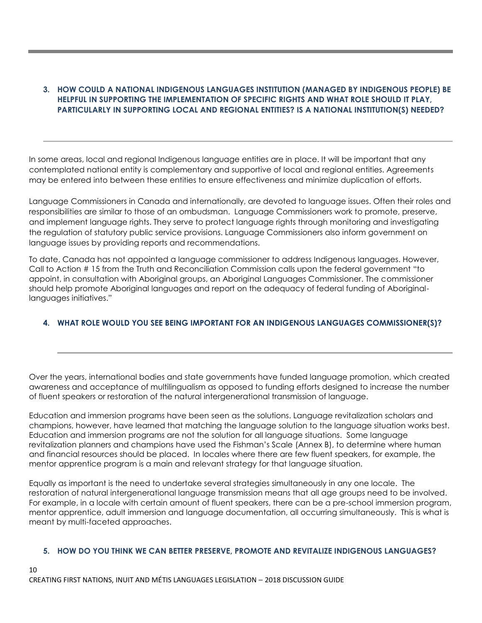#### **3. HOW COULD A NATIONAL INDIGENOUS LANGUAGES INSTITUTION (MANAGED BY INDIGENOUS PEOPLE) BE HELPFUL IN SUPPORTING THE IMPLEMENTATION OF SPECIFIC RIGHTS AND WHAT ROLE SHOULD IT PLAY, PARTICULARLY IN SUPPORTING LOCAL AND REGIONAL ENTITIES? IS A NATIONAL INSTITUTION(S) NEEDED?**

In some areas, local and regional Indigenous language entities are in place. It will be important that any contemplated national entity is complementary and supportive of local and regional entities. Agreements may be entered into between these entities to ensure effectiveness and minimize duplication of efforts.

Language Commissioners in Canada and internationally, are devoted to language issues. Often their roles and responsibilities are similar to those of an ombudsman. Language Commissioners work to promote, preserve, and implement language rights. They serve to protect language rights through monitoring and investigating the regulation of statutory public service provisions. Language Commissioners also inform government on language issues by providing reports and recommendations.

To date, Canada has not appointed a language commissioner to address Indigenous languages. However, Call to Action # 15 from the Truth and Reconciliation Commission calls upon the federal government "to appoint, in consultation with Aboriginal groups, an Aboriginal Languages Commissioner. The commissioner should help promote Aboriginal languages and report on the adequacy of federal funding of Aboriginallanguages initiatives."

#### **4. WHAT ROLE WOULD YOU SEE BEING IMPORTANT FOR AN INDIGENOUS LANGUAGES COMMISSIONER(S)?**

Over the years, international bodies and state governments have funded language promotion, which created awareness and acceptance of multilingualism as opposed to funding efforts designed to increase the number of fluent speakers or restoration of the natural intergenerational transmission of language.

Education and immersion programs have been seen as the solutions. Language revitalization scholars and champions, however, have learned that matching the language solution to the language situation works best. Education and immersion programs are not the solution for all language situations. Some language revitalization planners and champions have used the Fishman's Scale (Annex B), to determine where human and financial resources should be placed. In locales where there are few fluent speakers, for example, the mentor apprentice program is a main and relevant strategy for that language situation.

Equally as important is the need to undertake several strategies simultaneously in any one locale. The restoration of natural intergenerational language transmission means that all age groups need to be involved. For example, in a locale with certain amount of fluent speakers, there can be a pre-school immersion program, mentor apprentice, adult immersion and language documentation, all occurring simultaneously. This is what is meant by multi-faceted approaches.

#### **5. HOW DO YOU THINK WE CAN BETTER PRESERVE, PROMOTE AND REVITALIZE INDIGENOUS LANGUAGES?**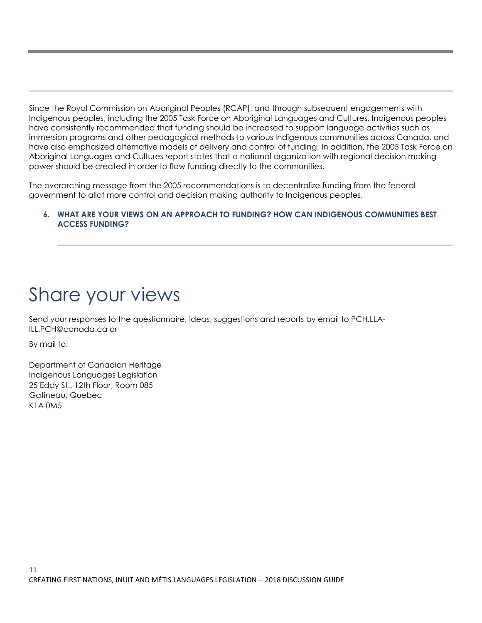Since the Royal Commission on Aboriginal Peoples (RCAP), and through subsequent engagements with Indigenous peoples, including the 2005 Task Force on Aboriginal Languages and Cultures, Indigenous peoples have consistently recommended that funding should be increased to support language activities such as immersion programs and other pedagogical methods to various Indigenous communities across Canada, and have also emphasized alternative models of delivery and control of funding. In addition, the 2005 Task Force on Aboriginal Languages and Cultures report states that a national organization with regional decision making power should be created in order to flow funding directly to the communities.

The overarching message from the 2005 recommendations is to decentralize funding from the federal government to allot more control and decision making authority to Indigenous peoples.

#### **6. WHAT ARE YOUR VIEWS ON AN APPROACH TO FUNDING? HOW CAN INDIGENOUS COMMUNITIES BEST ACCESS FUNDING?**

### Share your views

Send your responses to the questionnaire, ideas, suggestions and reports by email to PCH.LLA-ILL.PCH@canada.ca or

By mail to:

Department of Canadian Heritage Indigenous Languages Legislation 25 Eddy St., 12th Floor, Room 085 Gatineau, Quebec K1A 0M5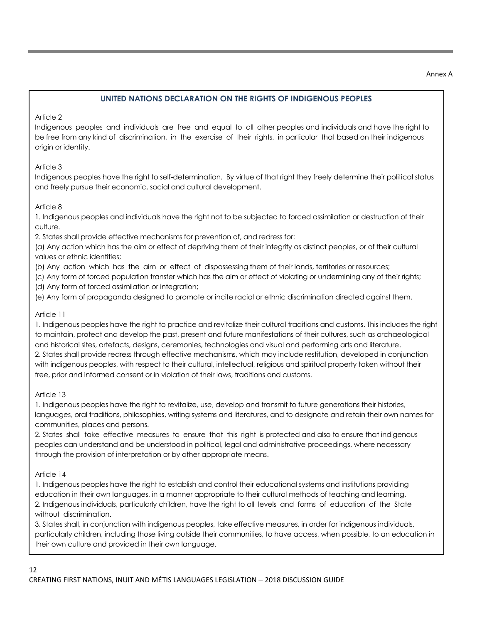#### Annex A

#### **UNITED NATIONS DECLARATION ON THE RIGHTS OF INDIGENOUS PEOPLES**

#### Article 2

Indigenous peoples and individuals are free and equal to all other peoples and individuals and have the right to be free from any kind of discrimination, in the exercise of their rights, in particular that based on their indigenous origin or identity.

#### Article 3

Indigenous peoples have the right to self-determination. By virtue of that right they freely determine their political status and freely pursue their economic, social and cultural development.

#### Article 8

1. Indigenous peoples and individuals have the right not to be subjected to forced assimilation or destruction of their culture.

2. States shall provide effective mechanisms for prevention of, and redress for:

(a) Any action which has the aim or effect of depriving them of their integrity as distinct peoples, or of their cultural values or ethnic identities;

(b) Any action which has the aim or effect of dispossessing them of their lands, territories or resources;

(c) Any form of forced population transfer which has the aim or effect of violating or undermining any of their rights;

(d) Any form of forced assimilation or integration;

(e) Any form of propaganda designed to promote or incite racial or ethnic discrimination directed against them.

#### Article 11

1. Indigenous peoples have the right to practice and revitalize their cultural traditions and customs. This includes the right to maintain, protect and develop the past, present and future manifestations of their cultures, such as archaeological and historical sites, artefacts, designs, ceremonies, technologies and visual and performing arts and literature. 2. States shall provide redress through effective mechanisms, which may include restitution, developed in conjunction with indigenous peoples, with respect to their cultural, intellectual, religious and spiritual property taken without their free, prior and informed consent or in violation of their laws, traditions and customs.

#### Article 13

1. Indigenous peoples have the right to revitalize, use, develop and transmit to future generations their histories, languages, oral traditions, philosophies, writing systems and literatures, and to designate and retain their own names for communities, places and persons.

2. States shall take effective measures to ensure that this right is protected and also to ensure that indigenous peoples can understand and be understood in political, legal and administrative proceedings, where necessary through the provision of interpretation or by other appropriate means.

#### Article 14

1. Indigenous peoples have the right to establish and control their educational systems and institutions providing education in their own languages, in a manner appropriate to their cultural methods of teaching and learning. 2. Indigenous individuals, particularly children, have the right to all levels and forms of education of the State without discrimination.

3. States shall, in conjunction with indigenous peoples, take effective measures, in order for indigenous individuals, particularly children, including those living outside their communities, to have access, when possible, to an education in their own culture and provided in their own language.